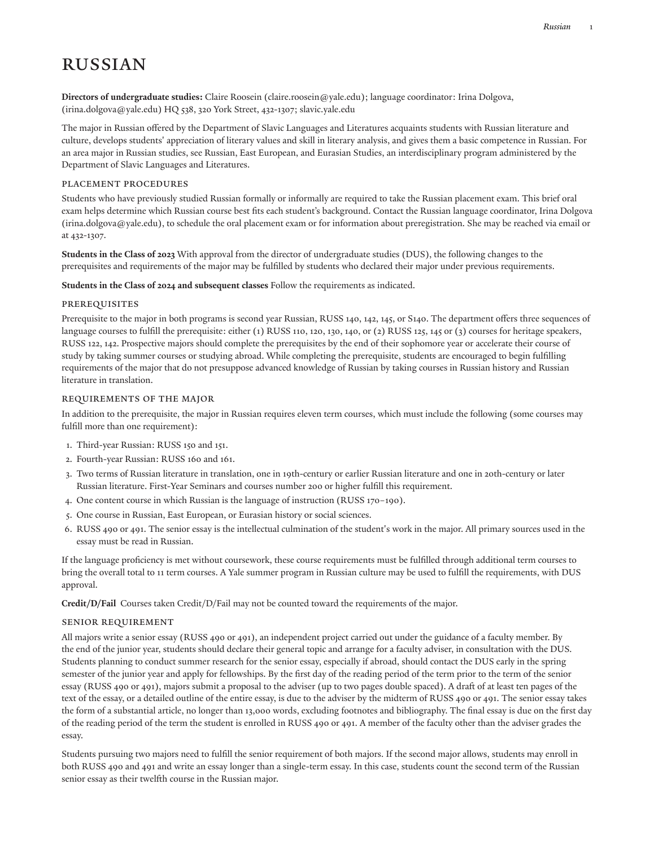# **RUSSIAN**

**Directors of undergraduate studies:** Claire [Roosein](mailto:claire.roosein@yale.edu) (<claire.roosein@yale.edu>); language coordinator: Irina [Dolgova,](mailto:irina.dolgova@yale.edu) [\(irina.dolgova@yale.edu\)](irina.dolgova@yale.edu) HQ 538, 320 York Street, 432-1307; [slavic.yale.edu](https://slavic.yale.edu/)

The major in Russian offered by the Department of Slavic Languages and Literatures acquaints students with Russian literature and culture, develops students' appreciation of literary values and skill in literary analysis, and gives them a basic competence in Russian. For an area major in Russian studies, see Russian, East [European,](http://catalog.yale.edu/ycps/subjects-of-instruction/russian-east-european-studies/) and Eurasian Studies, an interdisciplinary program administered by the Department of Slavic Languages and Literatures.

#### Placement Procedures

Students who have previously studied Russian formally or informally are required to take the Russian placement exam. This brief oral exam helps determine which Russian course best fits each student's background. Contact the Russian language coordinator, Irina [Dolgova](mailto:irina.dolgova@yale.edu) [\(irina.dolgova@yale.edu\)](irina.dolgova@yale.edu), to schedule the oral placement exam or for information about preregistration. She may be reached via email or at [432-1307](tel:(203)%20432-1307).

**Students in the Class of 2023** With approval from the director of undergraduate studies (DUS), the following changes to the prerequisites and requirements of the major may be fulfilled by students who declared their major under previous requirements.

#### **Students in the Class of 2024 and subsequent classes** Follow the requirements as indicated.

#### Prerequisites

Prerequisite to the major in both programs is second year Russian, RUSS 140, 142, 145, or S140. The department offers three sequences of language courses to fulfill the prerequisite: either (1) RUSS 110, 120, 130, 140, or (2) RUSS 125, 145 or (3) courses for heritage speakers, RUSS 122, 142. Prospective majors should complete the prerequisites by the end of their sophomore year or accelerate their course of study by taking summer courses or studying abroad. While completing the prerequisite, students are encouraged to begin fulfilling requirements of the major that do not presuppose advanced knowledge of Russian by taking courses in Russian history and Russian literature in translation.

#### Requirements of the Major

In addition to the prerequisite, the major in Russian requires eleven term courses, which must include the following (some courses may fulfill more than one requirement):

- 1. Third-year Russian: RUSS 150 and 151.
- 2. Fourth-year Russian: RUSS 160 and 161.
- 3. Two terms of Russian literature in translation, one in 19th-century or earlier Russian literature and one in 20th-century or later Russian literature. First-Year Seminars and courses number 200 or higher fulfill this requirement.
- 4. One content course in which Russian is the language of instruction (RUSS 170–190).
- 5. One course in Russian, East European, or Eurasian history or social sciences.
- 6. RUSS 490 or 491. The senior essay is the intellectual culmination of the student's work in the major. All primary sources used in the essay must be read in Russian.

If the language proficiency is met without coursework, these course requirements must be fulfilled through additional term courses to bring the overall total to 11 term courses. A Yale summer program in Russian culture may be used to fulfill the requirements, with DUS approval.

**Credit/D/Fail** Courses taken Credit/D/Fail may not be counted toward the requirements of the major.

#### Senior Requirement

All majors write a senior essay (RUSS 490 or 491), an independent project carried out under the guidance of a faculty member. By the end of the junior year, students should declare their general topic and arrange for a faculty adviser, in consultation with the DUS. Students planning to conduct summer research for the senior essay, especially if abroad, should contact the DUS early in the spring semester of the junior year and apply for fellowships. By the first day of the reading period of the term prior to the term of the senior essay (RUSS 490 or 491), majors submit a proposal to the adviser (up to two pages double spaced). A draft of at least ten pages of the text of the essay, or a detailed outline of the entire essay, is due to the adviser by the midterm of RUSS 490 or 491. The senior essay takes the form of a substantial article, no longer than 13,000 words, excluding footnotes and bibliography. The final essay is due on the first day of the reading period of the term the student is enrolled in RUSS 490 or 491. A member of the faculty other than the adviser grades the essay.

Students pursuing two majors need to fulfill the senior requirement of both majors. If the second major allows, students may enroll in both RUSS 490 and 491 and write an essay longer than a single-term essay. In this case, students count the second term of the Russian senior essay as their twelfth course in the Russian major.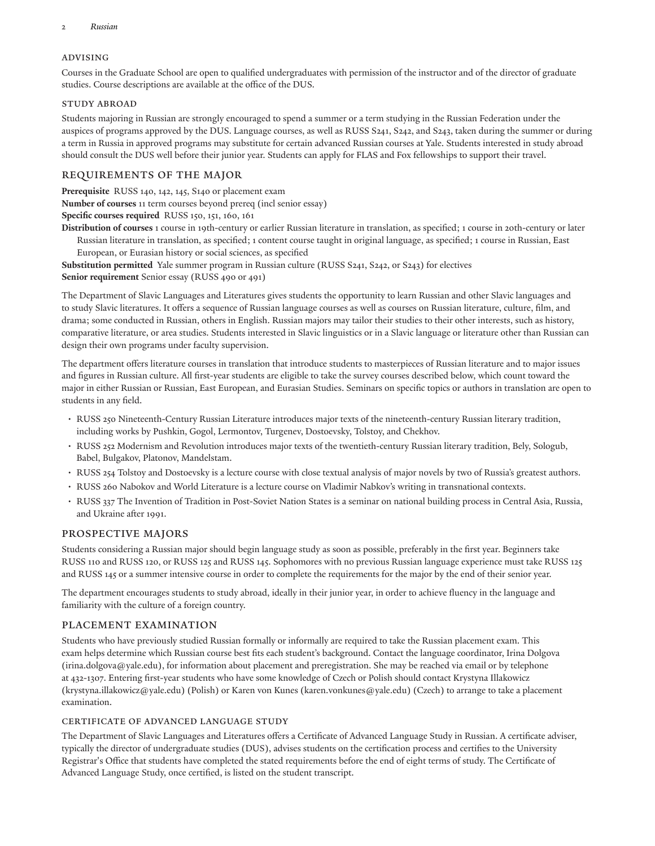#### Advising

Courses in the Graduate School are open to qualified undergraduates with permission of the instructor and of the director of graduate studies. Course descriptions are available at the office of the DUS.

#### STUDY ABROAD

Students majoring in Russian are strongly encouraged to spend a summer or a term studying in the Russian Federation under the auspices of programs approved by the DUS. Language courses, as well as RUSS S241, S242, and S243, taken during the summer or during a term in Russia in approved programs may substitute for certain advanced Russian courses at Yale. Students interested in study abroad should consult the DUS well before their junior year. Students can apply for [FLAS](https://yale.communityforce.com/Funds/FundDetails.aspx?496F49596D593768464E3537506B6F754D5442315A3068592B447A417741697579624E53536A35652B5A377745323047796263534F5277753654746B654A766A35533467653737364D50553D) and [Fox](https://funding.yale.edu/fellowships/yale-fellowships-offered-through/) fellowships to support their travel.

## REQUIREMENTS OF THE MAJOR

**Prerequisite** RUSS 140, 142, 145, S140 or placement exam

**Number of courses** 11 term courses beyond prereq (incl senior essay)

**Specific courses required** RUSS 150, 151, 160, 161

**Distribution of courses** 1 course in 19th-century or earlier Russian literature in translation, as specified; 1 course in 20th-century or later Russian literature in translation, as specified; 1 content course taught in original language, as specified; 1 course in Russian, East European, or Eurasian history or social sciences, as specified

**Substitution permitted** Yale summer program in Russian culture (RUSS S241, S242, or S243) for electives

**Senior requirement** Senior essay (RUSS 490 or 491)

The Department of Slavic Languages and Literatures gives students the opportunity to learn Russian and other Slavic languages and to study Slavic literatures. It offers a sequence of Russian language courses as well as courses on Russian literature, culture, film, and drama; some conducted in Russian, others in English. Russian majors may tailor their studies to their other interests, such as history, comparative literature, or area studies. Students interested in Slavic linguistics or in a Slavic language or literature other than Russian can design their own programs under faculty supervision.

The department offers literature courses in translation that introduce students to masterpieces of Russian literature and to major issues and figures in Russian culture. All first-year students are eligible to take the survey courses described below, which count toward the major in either Russian or Russian, East European, and Eurasian Studies. Seminars on specific topics or authors in translation are open to students in any field.

- RUSS 250 Nineteenth-Century Russian Literature introduces major texts of the nineteenth-century Russian literary tradition, including works by Pushkin, Gogol, Lermontov, Turgenev, Dostoevsky, Tolstoy, and Chekhov.
- RUSS 252 Modernism and Revolution introduces major texts of the twentieth-century Russian literary tradition, Bely, Sologub, Babel, Bulgakov, Platonov, Mandelstam.
- RUSS 254 Tolstoy and Dostoevsky is a lecture course with close textual analysis of major novels by two of Russia's greatest authors.
- RUSS 260 Nabokov and World Literature is a lecture course on Vladimir Nabkov's writing in transnational contexts.
- RUSS 337 The Invention of Tradition in Post-Soviet Nation States is a seminar on national building process in Central Asia, Russia, and Ukraine after 1991.

## Prospective Majors

Students considering a Russian major should begin language study as soon as possible, preferably in the first year. Beginners take RUSS 110 and RUSS 120, or RUSS 125 and RUSS 145. Sophomores with no previous Russian language experience must take RUSS 125 and RUSS 145 or a summer intensive course in order to complete the requirements for the major by the end of their senior year.

The department encourages students to study abroad, ideally in their junior year, in order to achieve fluency in the language and familiarity with the culture of a foreign country.

## Placement examination

Students who have previously studied Russian formally or informally are required to take the Russian placement exam. This exam helps determine which Russian course best fits each student's background. Contact the language coordinator, Irina [Dolgova](mailto:irina.dolgova@yale.edu) [\(irina.dolgova@yale.edu\)](irina.dolgova@yale.edu), for information about placement and preregistration. She may be reached via email or by telephone at 432-1307. Entering first-year students who have some knowledge of Czech or Polish should contact Krystyna [Illakowicz](mailto:krystyna.illakowicz@yale.edu) [\(krystyna.illakowicz@yale.edu](krystyna.illakowicz@yale.edu)) (Polish) or Karen von [Kunes](mailto:karen.vonkunes@yale.edu) (<karen.vonkunes@yale.edu>) (Czech) to arrange to take a placement examination.

## Certificate of Advanced Language Study

The Department of Slavic Languages and Literatures offers a Certificate of Advanced Language Study in Russian. A certificate adviser, typically the director of undergraduate studies (DUS), advises students on the certification process and certifies to the University Registrar's Office that students have completed the stated requirements before the end of eight terms of study. The Certificate of Advanced Language Study, once certified, is listed on the student transcript.